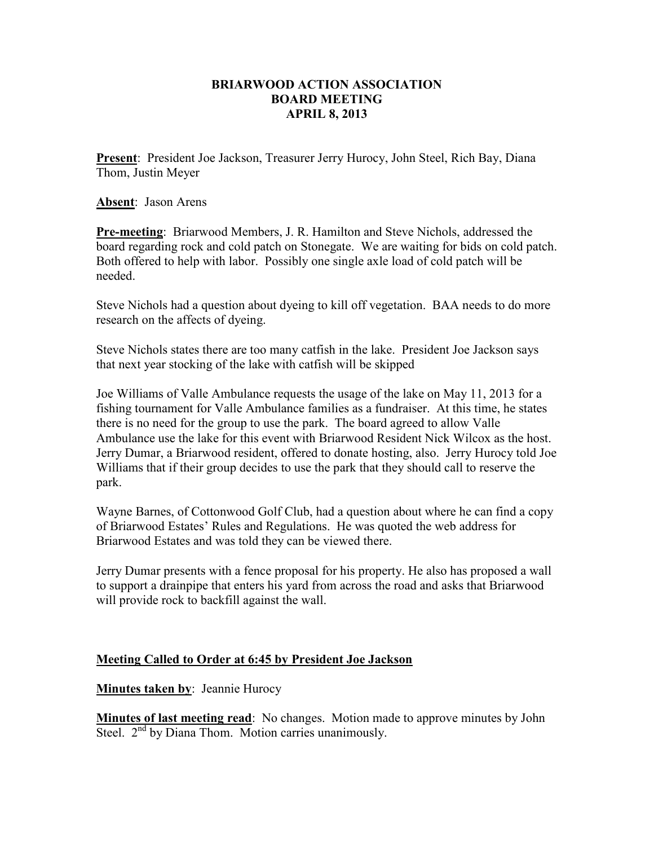## **BRIARWOOD ACTION ASSOCIATION BOARD MEETING APRIL 8, 2013**

**Present**: President Joe Jackson, Treasurer Jerry Hurocy, John Steel, Rich Bay, Diana Thom, Justin Meyer

**Absent**: Jason Arens

**Pre-meeting**: Briarwood Members, J. R. Hamilton and Steve Nichols, addressed the board regarding rock and cold patch on Stonegate. We are waiting for bids on cold patch. Both offered to help with labor. Possibly one single axle load of cold patch will be needed.

Steve Nichols had a question about dyeing to kill off vegetation. BAA needs to do more research on the affects of dyeing.

Steve Nichols states there are too many catfish in the lake. President Joe Jackson says that next year stocking of the lake with catfish will be skipped

Joe Williams of Valle Ambulance requests the usage of the lake on May 11, 2013 for a fishing tournament for Valle Ambulance families as a fundraiser. At this time, he states there is no need for the group to use the park. The board agreed to allow Valle Ambulance use the lake for this event with Briarwood Resident Nick Wilcox as the host. Jerry Dumar, a Briarwood resident, offered to donate hosting, also. Jerry Hurocy told Joe Williams that if their group decides to use the park that they should call to reserve the park.

Wayne Barnes, of Cottonwood Golf Club, had a question about where he can find a copy of Briarwood Estates' Rules and Regulations. He was quoted the web address for Briarwood Estates and was told they can be viewed there.

Jerry Dumar presents with a fence proposal for his property. He also has proposed a wall to support a drainpipe that enters his yard from across the road and asks that Briarwood will provide rock to backfill against the wall.

## **Meeting Called to Order at 6:45 by President Joe Jackson**

**Minutes taken by: Jeannie Hurocy** 

**Minutes of last meeting read**: No changes. Motion made to approve minutes by John Steel.  $2<sup>nd</sup>$  by Diana Thom. Motion carries unanimously.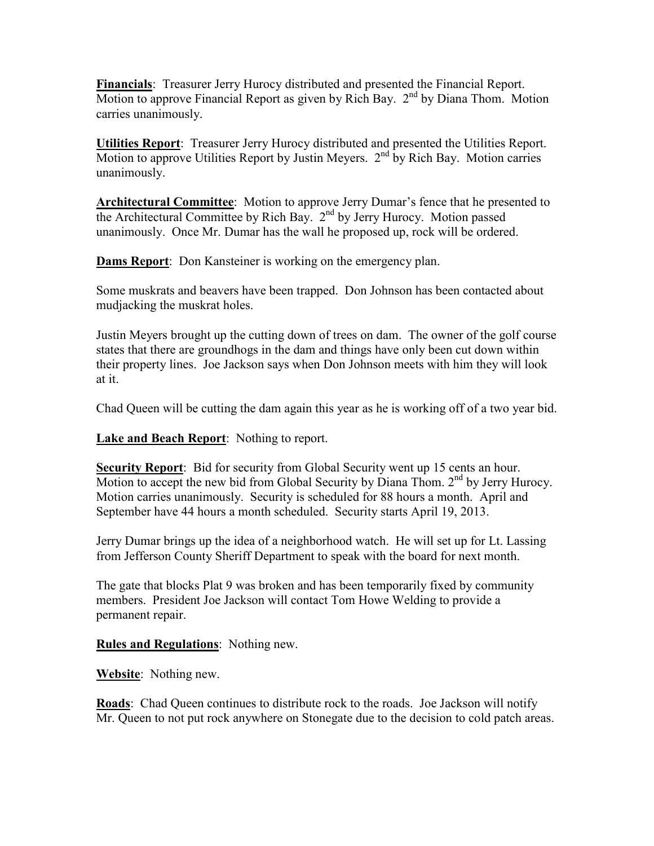**Financials**: Treasurer Jerry Hurocy distributed and presented the Financial Report. Motion to approve Financial Report as given by Rich Bay.  $2<sup>nd</sup>$  by Diana Thom. Motion carries unanimously.

**Utilities Report**: Treasurer Jerry Hurocy distributed and presented the Utilities Report. Motion to approve Utilities Report by Justin Meyers.  $2<sup>nd</sup>$  by Rich Bay. Motion carries unanimously.

**Architectural Committee**: Motion to approve Jerry Dumar's fence that he presented to the Architectural Committee by Rich Bay. 2nd by Jerry Hurocy. Motion passed unanimously. Once Mr. Dumar has the wall he proposed up, rock will be ordered.

**Dams Report**: Don Kansteiner is working on the emergency plan.

Some muskrats and beavers have been trapped. Don Johnson has been contacted about mudjacking the muskrat holes.

Justin Meyers brought up the cutting down of trees on dam. The owner of the golf course states that there are groundhogs in the dam and things have only been cut down within their property lines. Joe Jackson says when Don Johnson meets with him they will look at it.

Chad Queen will be cutting the dam again this year as he is working off of a two year bid.

**Lake and Beach Report**: Nothing to report.

**Security Report:** Bid for security from Global Security went up 15 cents an hour. Motion to accept the new bid from Global Security by Diana Thom.  $2<sup>nd</sup>$  by Jerry Hurocy. Motion carries unanimously. Security is scheduled for 88 hours a month. April and September have 44 hours a month scheduled. Security starts April 19, 2013.

Jerry Dumar brings up the idea of a neighborhood watch. He will set up for Lt. Lassing from Jefferson County Sheriff Department to speak with the board for next month.

The gate that blocks Plat 9 was broken and has been temporarily fixed by community members. President Joe Jackson will contact Tom Howe Welding to provide a permanent repair.

**Rules and Regulations**: Nothing new.

**Website**: Nothing new.

**Roads**: Chad Queen continues to distribute rock to the roads. Joe Jackson will notify Mr. Queen to not put rock anywhere on Stonegate due to the decision to cold patch areas.